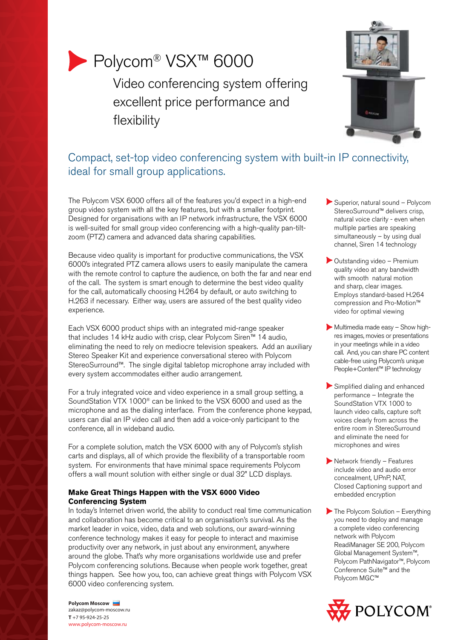

# Polycom® VSX™ 6000

Video conferencing system offering excellent price performance and flexibility



# Compact, set-top video conferencing system with built-in IP connectivity, ideal for small group applications.

The Polycom VSX 6000 offers all of the features you'd expect in a high-end group video system with all the key features, but with a smaller footprint. Designed for organisations with an IP network infrastructure, the VSX 6000 is well-suited for small group video conferencing with a high-quality pan-tiltzoom (PTZ) camera and advanced data sharing capabilities.

Because video quality is important for productive communications, the VSX 6000's integrated PTZ camera allows users to easily manipulate the camera with the remote control to capture the audience, on both the far and near end of the call. The system is smart enough to determine the best video quality for the call, automatically choosing H.264 by default, or auto switching to H.263 if necessary. Either way, users are assured of the best quality video experience.

Each VSX 6000 product ships with an integrated mid-range speaker that includes 14 kHz audio with crisp, clear Polycom Siren™ 14 audio, eliminating the need to rely on mediocre television speakers. Add an auxiliary Stereo Speaker Kit and experience conversational stereo with Polycom StereoSurround™. The single digital tabletop microphone array included with every system accommodates either audio arrangement.

For a truly integrated voice and video experience in a small group setting, a SoundStation VTX 1000® can be linked to the VSX 6000 and used as the microphone and as the dialing interface. From the conference phone keypad, users can dial an IP video call and then add a voice-only participant to the conference, all in wideband audio.

For a complete solution, match the VSX 6000 with any of Polycom's stylish carts and displays, all of which provide the flexibility of a transportable room system. For environments that have minimal space requirements Polycom offers a wall mount solution with either single or dual 32" LCD displays.

# **Make Great Things Happen with the VSX 6000 Video Conferencing System**

In today's Internet driven world, the ability to conduct real time communication and collaboration has become critical to an organisation's survival. As the market leader in voice, video, data and web solutions, our award-winning conference technology makes it easy for people to interact and maximise productivity over any network, in just about any environment, anywhere around the globe. That's why more organisations worldwide use and prefer Polycom conferencing solutions. Because when people work together, great things happen. See how you, too, can achieve great things with Polycom VSX 6000 video conferencing system.

- Superior, natural sound Polycom StereoSurround™ delivers crisp, natural voice clarity - even when multiple parties are speaking simultaneously – by using dual channel, Siren 14 technology
- Outstanding video Premium quality video at any bandwidth with smooth natural motion and sharp, clear images. Employs standard-based H.264 compression and Pro-Motion™ video for optimal viewing
- Multimedia made easy Show highres images, movies or presentations in your meetings while in a video call. And, you can share PC content cable-free using Polycom's unique People+Content™ IP technology
- Simplified dialing and enhanced performance – Integrate the SoundStation VTX 1000 to launch video calls, capture soft voices clearly from across the entire room in StereoSurround and eliminate the need for microphones and wires
- Network friendly Features include video and audio error concealment, UPnP, NAT, Closed Captioning support and embedded encryption
- The Polycom Solution Everything you need to deploy and manage a complete video conferencing network with Polycom ReadiManager SE 200, Polycom Global Management System™, Polycom PathNavigator™, Polycom Conference Suite™ and the Polycom MGC™



**Polycom Moscow** zakaz@polycom-moscow.ru **T** +7 95-924-25-25 www.polycom-moscow.ru